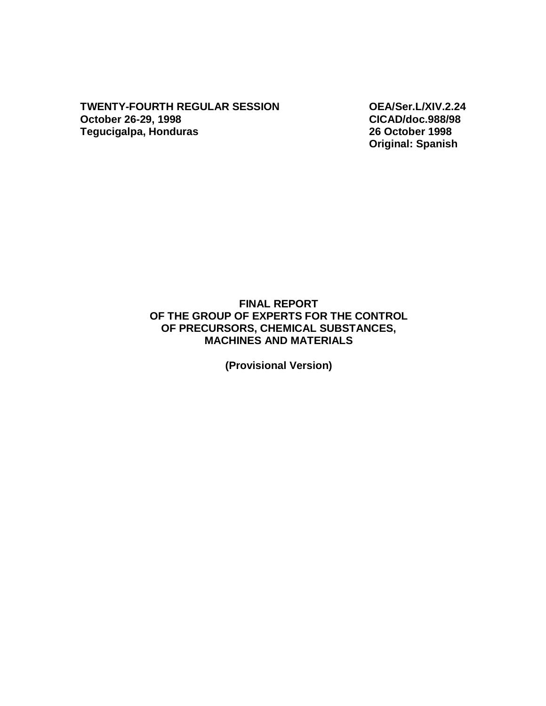**TWENTY-FOURTH REGULAR SESSION OEA/Ser.L/XIV.2.24 October 26-29, 1998 CICAD/doc.988/98 Tegucigalpa, Honduras** 

**Original: Spanish** 

### **FINAL REPORT OF THE GROUP OF EXPERTS FOR THE CONTROL OF PRECURSORS, CHEMICAL SUBSTANCES, MACHINES AND MATERIALS**

**(Provisional Version)**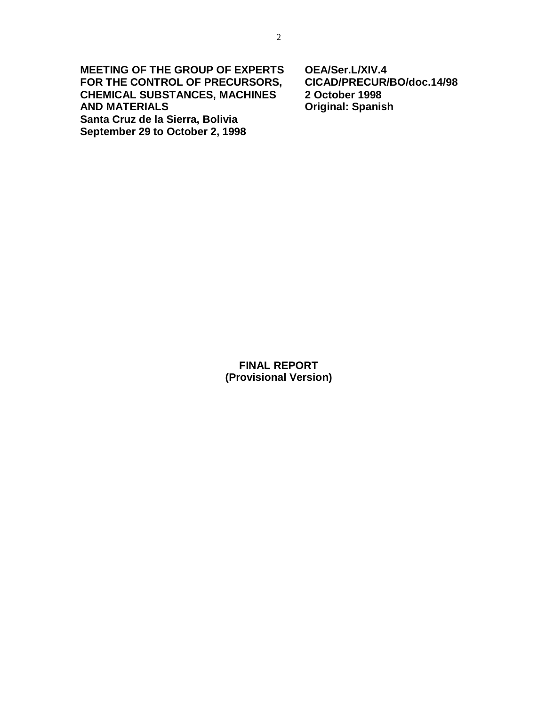**MEETING OF THE GROUP OF EXPERTS OEA/Ser.L/XIV.4 FOR THE CONTROL OF PRECURSORS, CICAD/PRECUR/BO/doc.14/98 CHEMICAL SUBSTANCES, MACHINES AND MATERIALS Original: Spanish** 

**Santa Cruz de la Sierra, Bolivia September 29 to October 2, 1998** 

**FINAL REPORT (Provisional Version)**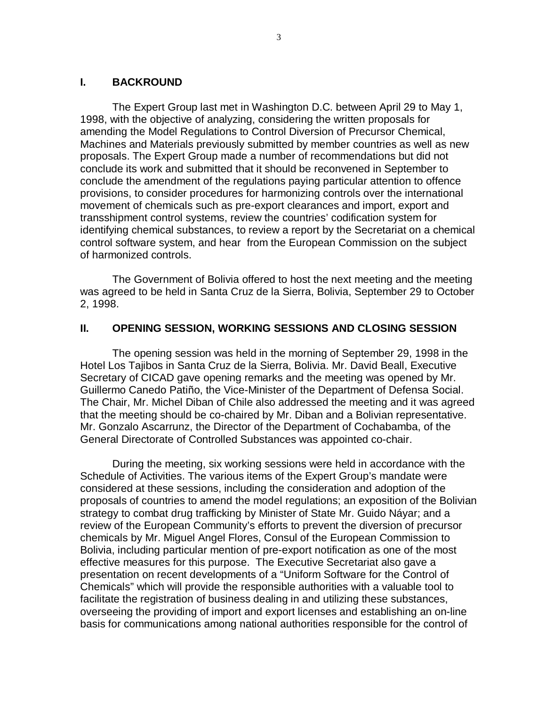#### **I. BACKROUND**

The Expert Group last met in Washington D.C. between April 29 to May 1, 1998, with the objective of analyzing, considering the written proposals for amending the Model Regulations to Control Diversion of Precursor Chemical, Machines and Materials previously submitted by member countries as well as new proposals. The Expert Group made a number of recommendations but did not conclude its work and submitted that it should be reconvened in September to conclude the amendment of the regulations paying particular attention to offence provisions, to consider procedures for harmonizing controls over the international movement of chemicals such as pre-export clearances and import, export and transshipment control systems, review the countries' codification system for identifying chemical substances, to review a report by the Secretariat on a chemical control software system, and hear from the European Commission on the subject of harmonized controls.

The Government of Bolivia offered to host the next meeting and the meeting was agreed to be held in Santa Cruz de la Sierra, Bolivia, September 29 to October 2, 1998.

#### **II. OPENING SESSION, WORKING SESSIONS AND CLOSING SESSION**

The opening session was held in the morning of September 29, 1998 in the Hotel Los Tajibos in Santa Cruz de la Sierra, Bolivia. Mr. David Beall, Executive Secretary of CICAD gave opening remarks and the meeting was opened by Mr. Guillermo Canedo Patiño, the Vice-Minister of the Department of Defensa Social. The Chair, Mr. Michel Diban of Chile also addressed the meeting and it was agreed that the meeting should be co-chaired by Mr. Diban and a Bolivian representative. Mr. Gonzalo Ascarrunz, the Director of the Department of Cochabamba, of the General Directorate of Controlled Substances was appointed co-chair.

During the meeting, six working sessions were held in accordance with the Schedule of Activities. The various items of the Expert Group's mandate were considered at these sessions, including the consideration and adoption of the proposals of countries to amend the model regulations; an exposition of the Bolivian strategy to combat drug trafficking by Minister of State Mr. Guido Náyar; and a review of the European Community's efforts to prevent the diversion of precursor chemicals by Mr. Miguel Angel Flores, Consul of the European Commission to Bolivia, including particular mention of pre-export notification as one of the most effective measures for this purpose. The Executive Secretariat also gave a presentation on recent developments of a "Uniform Software for the Control of Chemicals" which will provide the responsible authorities with a valuable tool to facilitate the registration of business dealing in and utilizing these substances, overseeing the providing of import and export licenses and establishing an on-line basis for communications among national authorities responsible for the control of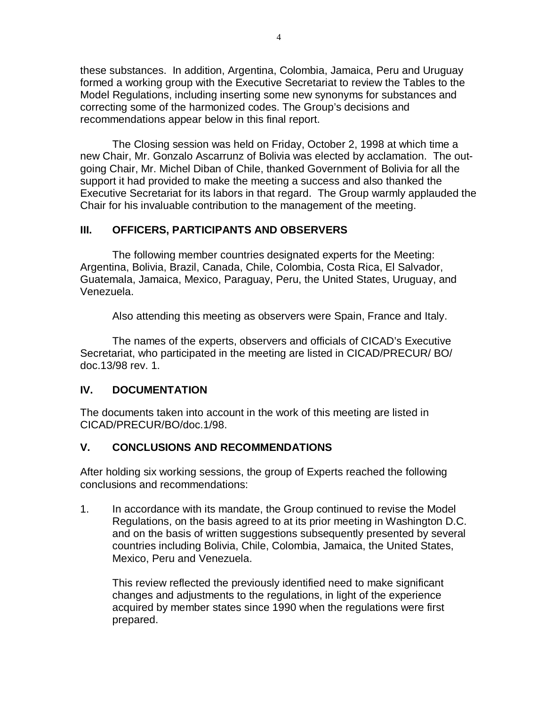these substances. In addition, Argentina, Colombia, Jamaica, Peru and Uruguay formed a working group with the Executive Secretariat to review the Tables to the Model Regulations, including inserting some new synonyms for substances and correcting some of the harmonized codes. The Group's decisions and recommendations appear below in this final report.

The Closing session was held on Friday, October 2, 1998 at which time a new Chair, Mr. Gonzalo Ascarrunz of Bolivia was elected by acclamation. The outgoing Chair, Mr. Michel Diban of Chile, thanked Government of Bolivia for all the support it had provided to make the meeting a success and also thanked the Executive Secretariat for its labors in that regard. The Group warmly applauded the Chair for his invaluable contribution to the management of the meeting.

## **III. OFFICERS, PARTICIPANTS AND OBSERVERS**

The following member countries designated experts for the Meeting: Argentina, Bolivia, Brazil, Canada, Chile, Colombia, Costa Rica, El Salvador, Guatemala, Jamaica, Mexico, Paraguay, Peru, the United States, Uruguay, and Venezuela.

Also attending this meeting as observers were Spain, France and Italy.

The names of the experts, observers and officials of CICAD's Executive Secretariat, who participated in the meeting are listed in CICAD/PRECUR/ BO/ doc.13/98 rev. 1.

## **IV. DOCUMENTATION**

The documents taken into account in the work of this meeting are listed in CICAD/PRECUR/BO/doc.1/98.

# **V. CONCLUSIONS AND RECOMMENDATIONS**

After holding six working sessions, the group of Experts reached the following conclusions and recommendations:

1. In accordance with its mandate, the Group continued to revise the Model Regulations, on the basis agreed to at its prior meeting in Washington D.C. and on the basis of written suggestions subsequently presented by several countries including Bolivia, Chile, Colombia, Jamaica, the United States, Mexico, Peru and Venezuela.

This review reflected the previously identified need to make significant changes and adjustments to the regulations, in light of the experience acquired by member states since 1990 when the regulations were first prepared.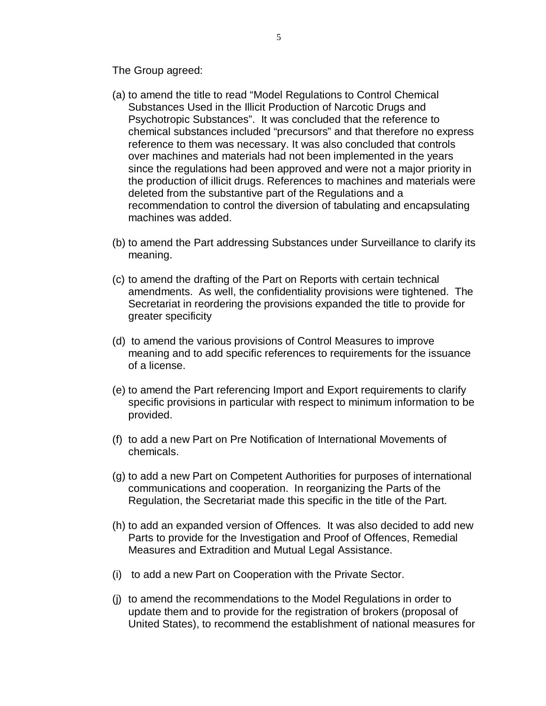The Group agreed:

- (a) to amend the title to read "Model Regulations to Control Chemical Substances Used in the Illicit Production of Narcotic Drugs and Psychotropic Substances". It was concluded that the reference to chemical substances included "precursors" and that therefore no express reference to them was necessary. It was also concluded that controls over machines and materials had not been implemented in the years since the regulations had been approved and were not a major priority in the production of illicit drugs. References to machines and materials were deleted from the substantive part of the Regulations and a recommendation to control the diversion of tabulating and encapsulating machines was added.
- (b) to amend the Part addressing Substances under Surveillance to clarify its meaning.
- (c) to amend the drafting of the Part on Reports with certain technical amendments. As well, the confidentiality provisions were tightened. The Secretariat in reordering the provisions expanded the title to provide for greater specificity
- (d) to amend the various provisions of Control Measures to improve meaning and to add specific references to requirements for the issuance of a license.
- (e) to amend the Part referencing Import and Export requirements to clarify specific provisions in particular with respect to minimum information to be provided.
- (f) to add a new Part on Pre Notification of International Movements of chemicals.
- (g) to add a new Part on Competent Authorities for purposes of international communications and cooperation. In reorganizing the Parts of the Regulation, the Secretariat made this specific in the title of the Part.
- (h) to add an expanded version of Offences. It was also decided to add new Parts to provide for the Investigation and Proof of Offences, Remedial Measures and Extradition and Mutual Legal Assistance.
- (i) to add a new Part on Cooperation with the Private Sector.
- (j) to amend the recommendations to the Model Regulations in order to update them and to provide for the registration of brokers (proposal of United States), to recommend the establishment of national measures for